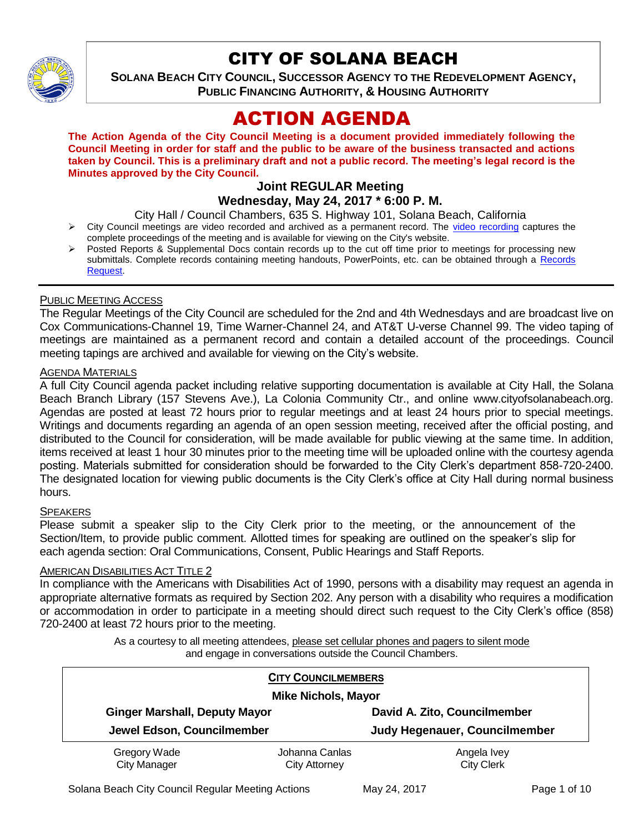

# CITY OF SOLANA BEACH

**SOLANA BEACH CITY COUNCIL, SUCCESSOR AGENCY TO THE REDEVELOPMENT AGENCY, PUBLIC FINANCING AUTHORITY, & HOUSING AUTHORITY** 

# ACTION AGENDA

**The Action Agenda of the City Council Meeting is a document provided immediately following the Council Meeting in order for staff and the public to be aware of the business transacted and actions taken by Council. This is a preliminary draft and not a public record. The meeting's legal record is the Minutes approved by the City Council.**

## **Joint REGULAR Meeting Wednesday, May 24, 2017 \* 6:00 P. M.**

City Hall / Council Chambers, 635 S. Highway 101, Solana Beach, California

- $\triangleright$  City Council meetings are video recorded and archived as a permanent record. The [video recording](https://solanabeach.12milesout.com/video/meeting/9dd90dfa-8a22-4322-9c39-fb13c9b5f7be) captures the complete proceedings of the meeting and is available for viewing on the City's website.
- Posted Reports & Supplemental Docs contain records up to the cut off time prior to meetings for processing new submittals. Complete records containing meeting handouts, PowerPoints, etc. can be obtained through a Records [Request.](http://www.ci.solana-beach.ca.us/index.asp?SEC=F5D45D10-70CE-4291-A27C-7BD633FC6742&Type=B_BASIC)

## PUBLIC MEETING ACCESS

The Regular Meetings of the City Council are scheduled for the 2nd and 4th Wednesdays and are broadcast live on Cox Communications-Channel 19, Time Warner-Channel 24, and AT&T U-verse Channel 99. The video taping of meetings are maintained as a permanent record and contain a detailed account of the proceedings. Council meeting tapings are archived and available for viewing on the City's website.

#### **AGENDA MATERIALS**

A full City Council agenda packet including relative supporting documentation is available at City Hall, the Solana Beach Branch Library (157 Stevens Ave.), La Colonia Community Ctr., and online www.cityofsolanabeach.org. Agendas are posted at least 72 hours prior to regular meetings and at least 24 hours prior to special meetings. Writings and documents regarding an agenda of an open session meeting, received after the official posting, and distributed to the Council for consideration, will be made available for public viewing at the same time. In addition, items received at least 1 hour 30 minutes prior to the meeting time will be uploaded online with the courtesy agenda posting. Materials submitted for consideration should be forwarded to the City Clerk's department 858-720-2400. The designated location for viewing public documents is the City Clerk's office at City Hall during normal business hours.

## **SPEAKERS**

Please submit a speaker slip to the City Clerk prior to the meeting, or the announcement of the Section/Item, to provide public comment. Allotted times for speaking are outlined on the speaker's slip for each agenda section: Oral Communications, Consent, Public Hearings and Staff Reports.

## **AMERICAN DISABILITIES ACT TITLE 2**

In compliance with the Americans with Disabilities Act of 1990, persons with a disability may request an agenda in appropriate alternative formats as required by Section 202. Any person with a disability who requires a modification or accommodation in order to participate in a meeting should direct such request to the City Clerk's office (858) 720-2400 at least 72 hours prior to the meeting.

> As a courtesy to all meeting attendees, please set cellular phones and pagers to silent mode and engage in conversations outside the Council Chambers.

| <b>CITY COUNCILMEMBERS</b><br><b>Mike Nichols, Mayor</b> |                                        |                                  |
|----------------------------------------------------------|----------------------------------------|----------------------------------|
| <b>Ginger Marshall, Deputy Mayor</b>                     |                                        | David A. Zito, Councilmember     |
| Jewel Edson, Councilmember                               |                                        | Judy Hegenauer, Councilmember    |
| Gregory Wade<br><b>City Manager</b>                      | Johanna Canlas<br><b>City Attorney</b> | Angela Ivey<br><b>City Clerk</b> |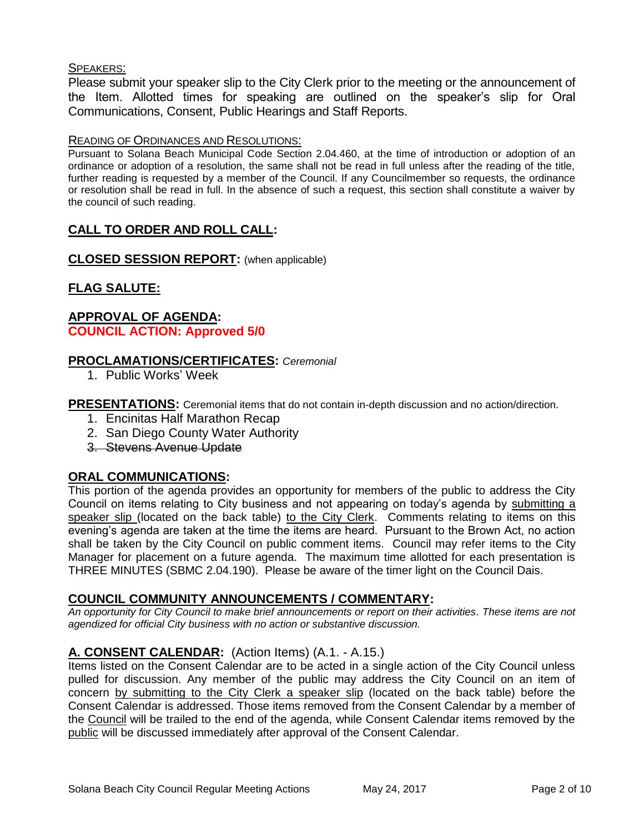## SPEAKERS:

Please submit your speaker slip to the City Clerk prior to the meeting or the announcement of the Item. Allotted times for speaking are outlined on the speaker's slip for Oral Communications, Consent, Public Hearings and Staff Reports.

#### READING OF ORDINANCES AND RESOLUTIONS:

Pursuant to Solana Beach Municipal Code Section 2.04.460, at the time of introduction or adoption of an ordinance or adoption of a resolution, the same shall not be read in full unless after the reading of the title, further reading is requested by a member of the Council. If any Councilmember so requests, the ordinance or resolution shall be read in full. In the absence of such a request, this section shall constitute a waiver by the council of such reading.

## **CALL TO ORDER AND ROLL CALL:**

**CLOSED SESSION REPORT:** (when applicable)

## **FLAG SALUTE:**

## **APPROVAL OF AGENDA: COUNCIL ACTION: Approved 5/0**

## **PROCLAMATIONS/CERTIFICATES:** *Ceremonial*

1. Public Works' Week

**PRESENTATIONS:** Ceremonial items that do not contain in-depth discussion and no action/direction.

- 1. Encinitas Half Marathon Recap
- 2. San Diego County Water Authority
- 3. Stevens Avenue Update

## **ORAL COMMUNICATIONS:**

This portion of the agenda provides an opportunity for members of the public to address the City Council on items relating to City business and not appearing on today's agenda by submitting a speaker slip (located on the back table) to the City Clerk. Comments relating to items on this evening's agenda are taken at the time the items are heard. Pursuant to the Brown Act, no action shall be taken by the City Council on public comment items. Council may refer items to the City Manager for placement on a future agenda. The maximum time allotted for each presentation is THREE MINUTES (SBMC 2.04.190). Please be aware of the timer light on the Council Dais.

## **COUNCIL COMMUNITY ANNOUNCEMENTS / COMMENTARY:**

*An opportunity for City Council to make brief announcements or report on their activities. These items are not agendized for official City business with no action or substantive discussion.* 

## **A. CONSENT CALENDAR:** (Action Items) (A.1. - A.15.)

Items listed on the Consent Calendar are to be acted in a single action of the City Council unless pulled for discussion. Any member of the public may address the City Council on an item of concern by submitting to the City Clerk a speaker slip (located on the back table) before the Consent Calendar is addressed. Those items removed from the Consent Calendar by a member of the Council will be trailed to the end of the agenda, while Consent Calendar items removed by the public will be discussed immediately after approval of the Consent Calendar.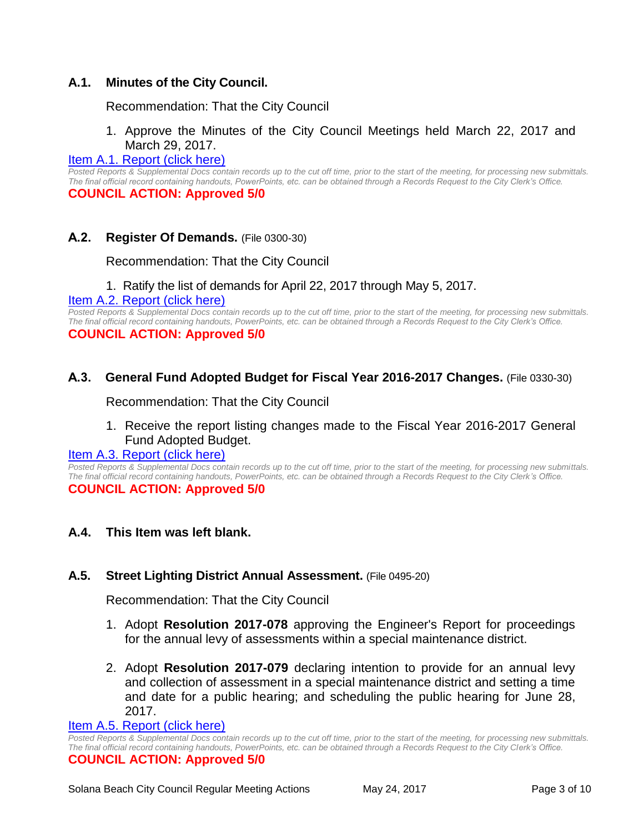## **A.1. Minutes of the City Council.**

Recommendation: That the City Council

## 1. Approve the Minutes of the City Council Meetings held March 22, 2017 and March 29, 2017.

## [Item A.1. Report \(click here\)](https://solanabeach.govoffice3.com/vertical/Sites/%7B840804C2-F869-4904-9AE3-720581350CE7%7D/uploads/Item_A.1._Report_(click_here)_5-24-17.PDF)

*Posted Reports & Supplemental Docs contain records up to the cut off time, prior to the start of the meeting, for processing new submittals. The final official record containing handouts, PowerPoints, etc. can be obtained through a Records Request to the City Clerk's Office.* **COUNCIL ACTION: Approved 5/0**

## **A.2. Register Of Demands.** (File 0300-30)

Recommendation: That the City Council

1. Ratify the list of demands for April 22, 2017 through May 5, 2017.

#### [Item A.2. Report \(click here\)](https://solanabeach.govoffice3.com/vertical/Sites/%7B840804C2-F869-4904-9AE3-720581350CE7%7D/uploads/Item_A.2._Report_(click_here)_5-24-17.PDF)

*Posted Reports & Supplemental Docs contain records up to the cut off time, prior to the start of the meeting, for processing new submittals. The final official record containing handouts, PowerPoints, etc. can be obtained through a Records Request to the City Clerk's Office.* **COUNCIL ACTION: Approved 5/0**

## **A.3. General Fund Adopted Budget for Fiscal Year 2016-2017 Changes.** (File 0330-30)

Recommendation: That the City Council

1. Receive the report listing changes made to the Fiscal Year 2016-2017 General Fund Adopted Budget.

#### [Item A.3. Report \(click here\)](https://solanabeach.govoffice3.com/vertical/Sites/%7B840804C2-F869-4904-9AE3-720581350CE7%7D/uploads/Item_A.3._Report_(click_here)_5-24-17.PDF)

*Posted Reports & Supplemental Docs contain records up to the cut off time, prior to the start of the meeting, for processing new submittals. The final official record containing handouts, PowerPoints, etc. can be obtained through a Records Request to the City Clerk's Office.* **COUNCIL ACTION: Approved 5/0**

## **A.4. This Item was left blank.**

## **A.5. Street Lighting District Annual Assessment.** (File 0495-20)

Recommendation: That the City Council

- 1. Adopt **Resolution 2017-078** approving the Engineer's Report for proceedings for the annual levy of assessments within a special maintenance district.
- 2. Adopt **Resolution 2017-079** declaring intention to provide for an annual levy and collection of assessment in a special maintenance district and setting a time and date for a public hearing; and scheduling the public hearing for June 28, 2017.

#### Item A.5. [Report \(click here\)](https://solanabeach.govoffice3.com/vertical/Sites/%7B840804C2-F869-4904-9AE3-720581350CE7%7D/uploads/Item_A.5._Report_(click_here)_5-24-17.PDF)

*Posted Reports & Supplemental Docs contain records up to the cut off time, prior to the start of the meeting, for processing new submittals. The final official record containing handouts, PowerPoints, etc. can be obtained through a Records Request to the City Clerk's Office.*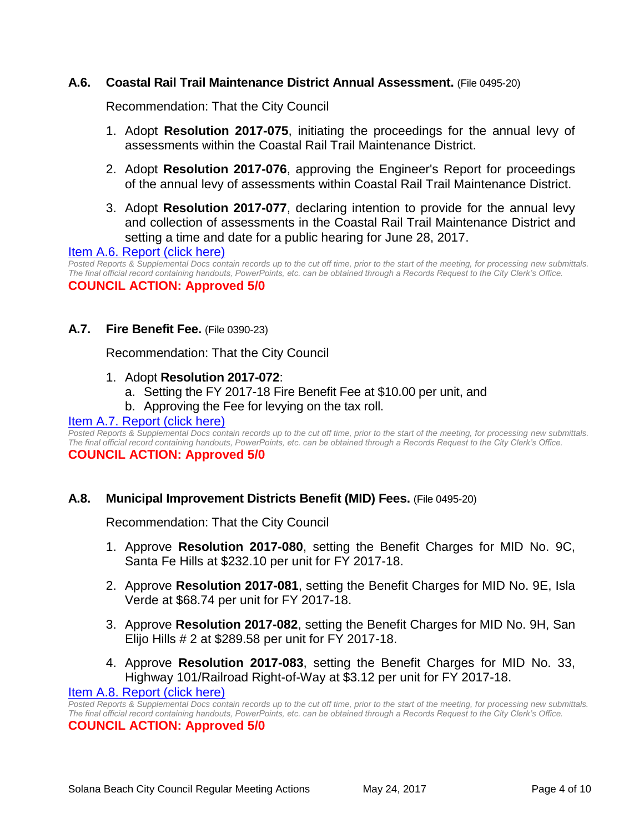## **A.6. Coastal Rail Trail Maintenance District Annual Assessment.** (File 0495-20)

Recommendation: That the City Council

- 1. Adopt **Resolution 2017-075**, initiating the proceedings for the annual levy of assessments within the Coastal Rail Trail Maintenance District.
- 2. Adopt **Resolution 2017-076**, approving the Engineer's Report for proceedings of the annual levy of assessments within Coastal Rail Trail Maintenance District.
- 3. Adopt **Resolution 2017-077**, declaring intention to provide for the annual levy and collection of assessments in the Coastal Rail Trail Maintenance District and setting a time and date for a public hearing for June 28, 2017.

#### [Item A.6. Report \(click here\)](https://solanabeach.govoffice3.com/vertical/Sites/%7B840804C2-F869-4904-9AE3-720581350CE7%7D/uploads/Item_A.6._Report_(click_here)_5-24-17.PDF)

*Posted Reports & Supplemental Docs contain records up to the cut off time, prior to the start of the meeting, for processing new submittals. The final official record containing handouts, PowerPoints, etc. can be obtained through a Records Request to the City Clerk's Office.* **COUNCIL ACTION: Approved 5/0**

**A.7. Fire Benefit Fee.** (File 0390-23)

Recommendation: That the City Council

- 1. Adopt **Resolution 2017-072**:
	- a. Setting the FY 2017-18 Fire Benefit Fee at \$10.00 per unit, and
	- b. Approving the Fee for levying on the tax roll.

#### [Item A.7. Report \(click here\)](https://solanabeach.govoffice3.com/vertical/Sites/%7B840804C2-F869-4904-9AE3-720581350CE7%7D/uploads/Item_A.7._Report_(click_here)_5-24-17.PDF)

*Posted Reports & Supplemental Docs contain records up to the cut off time, prior to the start of the meeting, for processing new submittals. The final official record containing handouts, PowerPoints, etc. can be obtained through a Records Request to the City Clerk's Office.* **COUNCIL ACTION: Approved 5/0**

#### **A.8. Municipal Improvement Districts Benefit (MID) Fees.** (File 0495-20)

Recommendation: That the City Council

- 1. Approve **Resolution 2017-080**, setting the Benefit Charges for MID No. 9C, Santa Fe Hills at \$232.10 per unit for FY 2017-18.
- 2. Approve **Resolution 2017-081**, setting the Benefit Charges for MID No. 9E, Isla Verde at \$68.74 per unit for FY 2017-18.
- 3. Approve **Resolution 2017-082**, setting the Benefit Charges for MID No. 9H, San Elijo Hills # 2 at \$289.58 per unit for FY 2017-18.
- 4. Approve **Resolution 2017-083**, setting the Benefit Charges for MID No. 33, Highway 101/Railroad Right-of-Way at \$3.12 per unit for FY 2017-18.

#### [Item A.8. Report \(click here\)](https://solanabeach.govoffice3.com/vertical/Sites/%7B840804C2-F869-4904-9AE3-720581350CE7%7D/uploads/Item_A.8._Report_(click_here)_5-24-17.PDF)

*Posted Reports & Supplemental Docs contain records up to the cut off time, prior to the start of the meeting, for processing new submittals. The final official record containing handouts, PowerPoints, etc. can be obtained through a Records Request to the City Clerk's Office.*

#### **COUNCIL ACTION: Approved 5/0**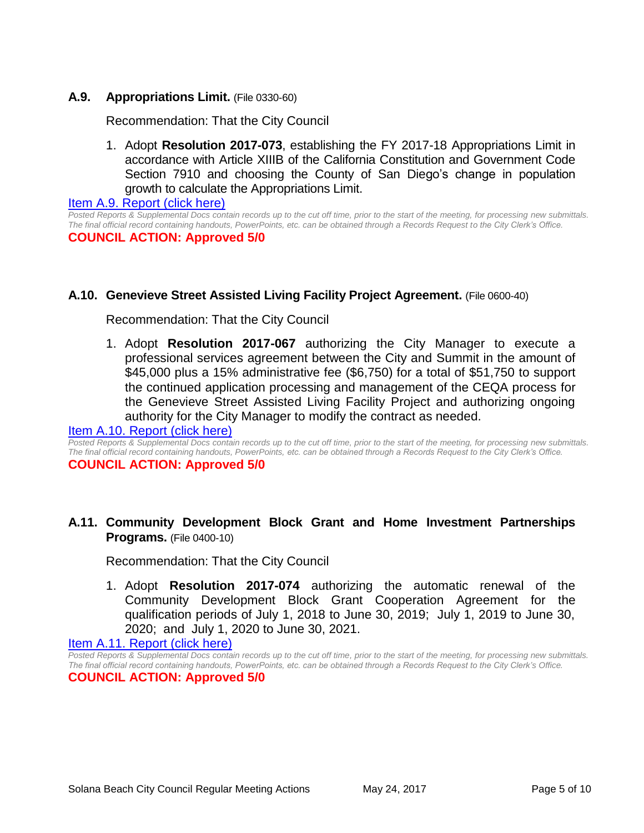## **A.9. Appropriations Limit.** (File 0330-60)

Recommendation: That the City Council

1. Adopt **Resolution 2017-073**, establishing the FY 2017-18 Appropriations Limit in accordance with Article XIIIB of the California Constitution and Government Code Section 7910 and choosing the County of San Diego's change in population growth to calculate the Appropriations Limit.

[Item A.9. Report \(click here\)](https://solanabeach.govoffice3.com/vertical/Sites/%7B840804C2-F869-4904-9AE3-720581350CE7%7D/uploads/Item_A.9._Report_(click_here)_5-24-17.PDF)

*Posted Reports & Supplemental Docs contain records up to the cut off time, prior to the start of the meeting, for processing new submittals. The final official record containing handouts, PowerPoints, etc. can be obtained through a Records Request to the City Clerk's Office.* **COUNCIL ACTION: Approved 5/0**

## **A.10. Genevieve Street Assisted Living Facility Project Agreement.** (File 0600-40)

Recommendation: That the City Council

1. Adopt **Resolution 2017-067** authorizing the City Manager to execute a professional services agreement between the City and Summit in the amount of \$45,000 plus a 15% administrative fee (\$6,750) for a total of \$51,750 to support the continued application processing and management of the CEQA process for the Genevieve Street Assisted Living Facility Project and authorizing ongoing authority for the City Manager to modify the contract as needed.

#### [Item A.10. Report \(click here\)](https://solanabeach.govoffice3.com/vertical/Sites/%7B840804C2-F869-4904-9AE3-720581350CE7%7D/uploads/Item_A.10._Report_(click_here)_5-24-17.PDF)

*Posted Reports & Supplemental Docs contain records up to the cut off time, prior to the start of the meeting, for processing new submittals. The final official record containing handouts, PowerPoints, etc. can be obtained through a Records Request to the City Clerk's Office.*

#### **COUNCIL ACTION: Approved 5/0**

## **A.11. Community Development Block Grant and Home Investment Partnerships Programs.** (File 0400-10)

Recommendation: That the City Council

1. Adopt **Resolution 2017-074** authorizing the automatic renewal of the Community Development Block Grant Cooperation Agreement for the qualification periods of July 1, 2018 to June 30, 2019; July 1, 2019 to June 30, 2020; and July 1, 2020 to June 30, 2021.

[Item A.11. Report \(click here\)](https://solanabeach.govoffice3.com/vertical/Sites/%7B840804C2-F869-4904-9AE3-720581350CE7%7D/uploads/Item_A.11._Report_(click_here)_5-24-17.PDF)

*Posted Reports & Supplemental Docs contain records up to the cut off time, prior to the start of the meeting, for processing new submittals. The final official record containing handouts, PowerPoints, etc. can be obtained through a Records Request to the City Clerk's Office.* **COUNCIL ACTION: Approved 5/0**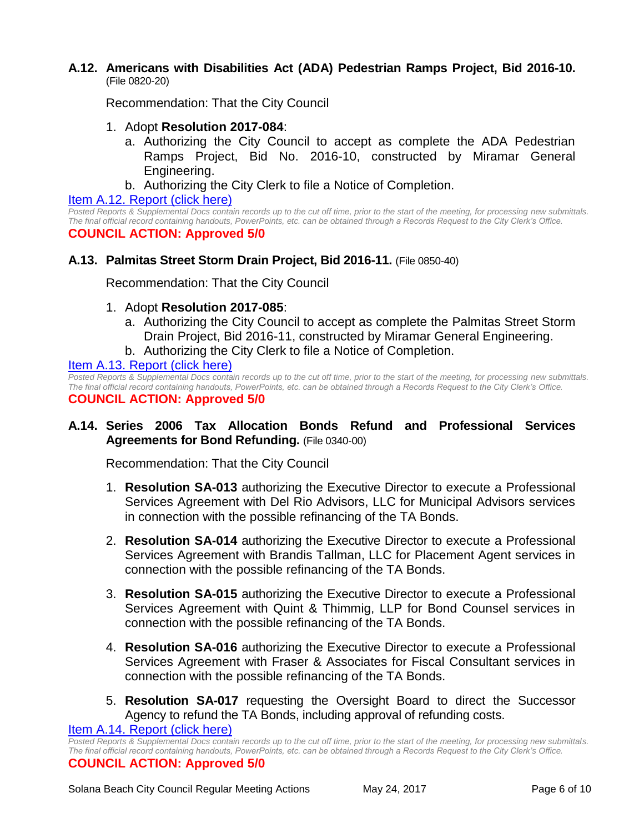## **A.12. Americans with Disabilities Act (ADA) Pedestrian Ramps Project, Bid 2016-10.** (File 0820-20)

Recommendation: That the City Council

- 1. Adopt **Resolution 2017-084**:
	- a. Authorizing the City Council to accept as complete the ADA Pedestrian Ramps Project, Bid No. 2016-10, constructed by Miramar General Engineering.
	- b. Authorizing the City Clerk to file a Notice of Completion.

## [Item A.12. Report \(click here\)](https://solanabeach.govoffice3.com/vertical/Sites/%7B840804C2-F869-4904-9AE3-720581350CE7%7D/uploads/Item_A.12._Report_(click_here)_5-24-17.PDF)

*Posted Reports & Supplemental Docs contain records up to the cut off time, prior to the start of the meeting, for processing new submittals. The final official record containing handouts, PowerPoints, etc. can be obtained through a Records Request to the City Clerk's Office.* **COUNCIL ACTION: Approved 5/0**

## **A.13. Palmitas Street Storm Drain Project, Bid 2016-11.** (File 0850-40)

Recommendation: That the City Council

- 1. Adopt **Resolution 2017-085**:
	- a. Authorizing the City Council to accept as complete the Palmitas Street Storm Drain Project, Bid 2016-11, constructed by Miramar General Engineering.
	- b. Authorizing the City Clerk to file a Notice of Completion.

[Item A.13. Report \(click here\)](https://solanabeach.govoffice3.com/vertical/Sites/%7B840804C2-F869-4904-9AE3-720581350CE7%7D/uploads/Item_A.13._Report_(click_here)_5-24-17.PDF)

*Posted Reports & Supplemental Docs contain records up to the cut off time, prior to the start of the meeting, for processing new submittals. The final official record containing handouts, PowerPoints, etc. can be obtained through a Records Request to the City Clerk's Office.* **COUNCIL ACTION: Approved 5/0**

## **A.14. Series 2006 Tax Allocation Bonds Refund and Professional Services Agreements for Bond Refunding.** (File 0340-00)

Recommendation: That the City Council

- 1. **Resolution SA-013** authorizing the Executive Director to execute a Professional Services Agreement with Del Rio Advisors, LLC for Municipal Advisors services in connection with the possible refinancing of the TA Bonds.
- 2. **Resolution SA-014** authorizing the Executive Director to execute a Professional Services Agreement with Brandis Tallman, LLC for Placement Agent services in connection with the possible refinancing of the TA Bonds.
- 3. **Resolution SA-015** authorizing the Executive Director to execute a Professional Services Agreement with Quint & Thimmig, LLP for Bond Counsel services in connection with the possible refinancing of the TA Bonds.
- 4. **Resolution SA-016** authorizing the Executive Director to execute a Professional Services Agreement with Fraser & Associates for Fiscal Consultant services in connection with the possible refinancing of the TA Bonds.
- 5. **Resolution SA-017** requesting the Oversight Board to direct the Successor Agency to refund the TA Bonds, including approval of refunding costs.

[Item A.14. Report \(click here\)](https://solanabeach.govoffice3.com/vertical/Sites/%7B840804C2-F869-4904-9AE3-720581350CE7%7D/uploads/Item_A.14._Report_(click_here)_5-24-17.PDF)

*Posted Reports & Supplemental Docs contain records up to the cut off time, prior to the start of the meeting, for processing new submittals. The final official record containing handouts, PowerPoints, etc. can be obtained through a Records Request to the City Clerk's Office.* **COUNCIL ACTION: Approved 5/0**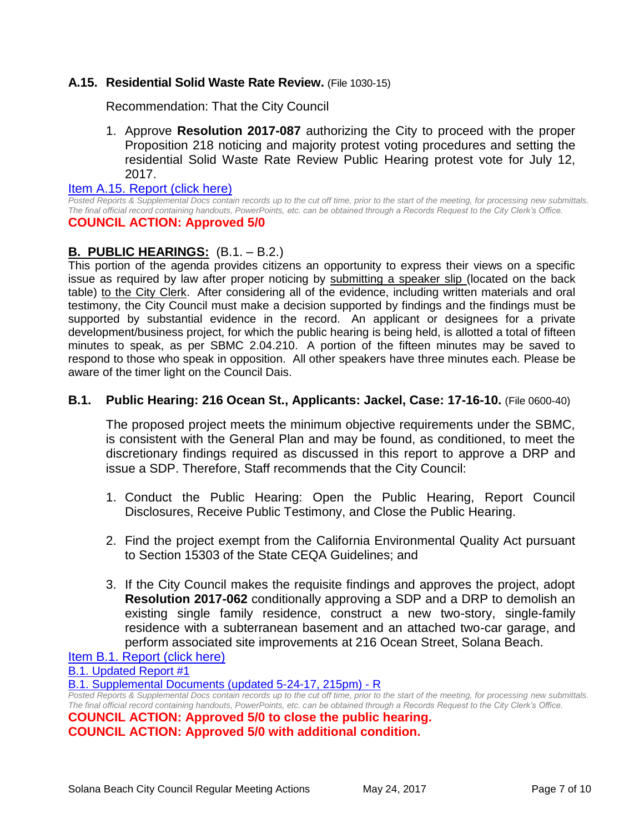## **A.15. Residential Solid Waste Rate Review.** (File 1030-15)

Recommendation: That the City Council

1. Approve **Resolution 2017-087** authorizing the City to proceed with the proper Proposition 218 noticing and majority protest voting procedures and setting the residential Solid Waste Rate Review Public Hearing protest vote for July 12, 2017.

[Item A.15. Report \(click here\)](https://solanabeach.govoffice3.com/vertical/Sites/%7B840804C2-F869-4904-9AE3-720581350CE7%7D/uploads/Item_A.15._Report_(click_here)_5-24-17.PDF)

*Posted Reports & Supplemental Docs contain records up to the cut off time, prior to the start of the meeting, for processing new submittals. The final official record containing handouts, PowerPoints, etc. can be obtained through a Records Request to the City Clerk's Office.*

## **COUNCIL ACTION: Approved 5/0**

## **B. PUBLIC HEARINGS:** (B.1. – B.2.)

This portion of the agenda provides citizens an opportunity to express their views on a specific issue as required by law after proper noticing by submitting a speaker slip (located on the back table) to the City Clerk. After considering all of the evidence, including written materials and oral testimony, the City Council must make a decision supported by findings and the findings must be supported by substantial evidence in the record. An applicant or designees for a private development/business project, for which the public hearing is being held, is allotted a total of fifteen minutes to speak, as per SBMC 2.04.210. A portion of the fifteen minutes may be saved to respond to those who speak in opposition. All other speakers have three minutes each. Please be aware of the timer light on the Council Dais.

## **B.1. Public Hearing: 216 Ocean St., Applicants: Jackel, Case: 17-16-10.** (File 0600-40)

The proposed project meets the minimum objective requirements under the SBMC, is consistent with the General Plan and may be found, as conditioned, to meet the discretionary findings required as discussed in this report to approve a DRP and issue a SDP. Therefore, Staff recommends that the City Council:

- 1. Conduct the Public Hearing: Open the Public Hearing, Report Council Disclosures, Receive Public Testimony, and Close the Public Hearing.
- 2. Find the project exempt from the California Environmental Quality Act pursuant to Section 15303 of the State CEQA Guidelines; and
- 3. If the City Council makes the requisite findings and approves the project, adopt **Resolution 2017-062** conditionally approving a SDP and a DRP to demolish an existing single family residence, construct a new two-story, single-family residence with a subterranean basement and an attached two-car garage, and perform associated site improvements at 216 Ocean Street, Solana Beach.

[Item B.1. Report \(click here\)](https://solanabeach.govoffice3.com/vertical/Sites/%7B840804C2-F869-4904-9AE3-720581350CE7%7D/uploads/Item_B.1._Report_(click_here)_5-24-17.PDF)

[B.1. Updated Report #1](https://solanabeach.govoffice3.com/vertical/Sites/%7B840804C2-F869-4904-9AE3-720581350CE7%7D/uploads/B.1._Updated_Report_1_(5-24-17).pdf)

[B.1. Supplemental Documents \(updated 5-24-17, 215pm\) -](https://solanabeach.govoffice3.com/vertical/Sites/%7B840804C2-F869-4904-9AE3-720581350CE7%7D/uploads/B.1._Supplemental_Documents_(updated_5-24-17_215pm)_-_R.pdf) R

*Posted Reports & Supplemental Docs contain records up to the cut off time, prior to the start of the meeting, for processing new submittals. The final official record containing handouts, PowerPoints, etc. can be obtained through a Records Request to the City Clerk's Office.*

**COUNCIL ACTION: Approved 5/0 to close the public hearing. COUNCIL ACTION: Approved 5/0 with additional condition.**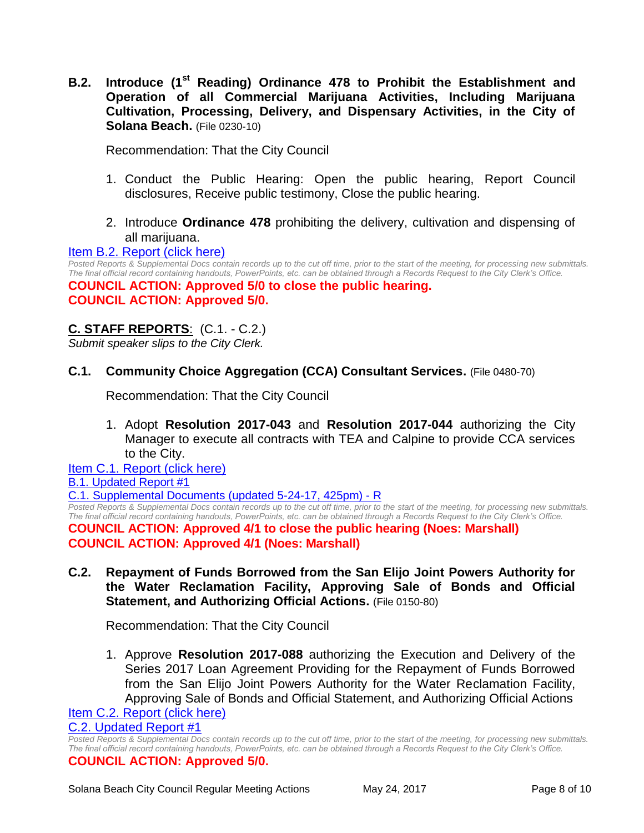**B.2. Introduce (1st Reading) Ordinance 478 to Prohibit the Establishment and Operation of all Commercial Marijuana Activities, Including Marijuana Cultivation, Processing, Delivery, and Dispensary Activities, in the City of Solana Beach.** (File 0230-10)

Recommendation: That the City Council

- 1. Conduct the Public Hearing: Open the public hearing, Report Council disclosures, Receive public testimony, Close the public hearing.
- 2. Introduce **Ordinance 478** prohibiting the delivery, cultivation and dispensing of all marijuana.

#### [Item B.2. Report \(click here\)](https://solanabeach.govoffice3.com/vertical/Sites/%7B840804C2-F869-4904-9AE3-720581350CE7%7D/uploads/Item_B.2._Report_(click_here)_5-24-17.PDF)

*Posted Reports & Supplemental Docs contain records up to the cut off time, prior to the start of the meeting, for processing new submittals. The final official record containing handouts, PowerPoints, etc. can be obtained through a Records Request to the City Clerk's Office.*

**COUNCIL ACTION: Approved 5/0 to close the public hearing. COUNCIL ACTION: Approved 5/0.** 

## **C. STAFF REPORTS**: (C.1. - C.2.)

*Submit speaker slips to the City Clerk.*

**C.1. Community Choice Aggregation (CCA) Consultant Services.** (File 0480-70)

Recommendation: That the City Council

1. Adopt **Resolution 2017-043** and **Resolution 2017-044** authorizing the City Manager to execute all contracts with TEA and Calpine to provide CCA services to the City.

[Item C.1. Report \(click here\)](https://solanabeach.govoffice3.com/vertical/Sites/%7B840804C2-F869-4904-9AE3-720581350CE7%7D/uploads/Item_C.1._Report_(click_here)_5-24-17.PDF) [B.1. Updated Report #1](https://solanabeach.govoffice3.com/vertical/Sites/%7B840804C2-F869-4904-9AE3-720581350CE7%7D/uploads/C.1._Updated_Report_1(1).pdf)

[C.1. Supplemental Documents \(updated 5-24-17, 425pm\) -](https://solanabeach.govoffice3.com/vertical/Sites/%7B840804C2-F869-4904-9AE3-720581350CE7%7D/uploads/C.1._Supplemental_Documents_(updated_5-24-17_425pm)_-_R.pdf) R

*Posted Reports & Supplemental Docs contain records up to the cut off time, prior to the start of the meeting, for processing new submittals. The final official record containing handouts, PowerPoints, etc. can be obtained through a Records Request to the City Clerk's Office.*

**COUNCIL ACTION: Approved 4/1 to close the public hearing (Noes: Marshall) COUNCIL ACTION: Approved 4/1 (Noes: Marshall)**

**C.2. Repayment of Funds Borrowed from the San Elijo Joint Powers Authority for the Water Reclamation Facility, Approving Sale of Bonds and Official Statement, and Authorizing Official Actions.** (File 0150-80)

Recommendation: That the City Council

1. Approve **Resolution 2017-088** authorizing the Execution and Delivery of the Series 2017 Loan Agreement Providing for the Repayment of Funds Borrowed from the San Elijo Joint Powers Authority for the Water Reclamation Facility, Approving Sale of Bonds and Official Statement, and Authorizing Official Actions

[Item C.2. Report \(click here\)](https://solanabeach.govoffice3.com/vertical/Sites/%7B840804C2-F869-4904-9AE3-720581350CE7%7D/uploads/Item_C.2._Report_(click_here)_5-24-17.PDF)

[C.2. Updated Report #1](https://solanabeach.govoffice3.com/vertical/Sites/%7B840804C2-F869-4904-9AE3-720581350CE7%7D/uploads/C.2._Updated_Report_1_05-24-17.pdf)

*Posted Reports & Supplemental Docs contain records up to the cut off time, prior to the start of the meeting, for processing new submittals. The final official record containing handouts, PowerPoints, etc. can be obtained through a Records Request to the City Clerk's Office.* **COUNCIL ACTION: Approved 5/0.**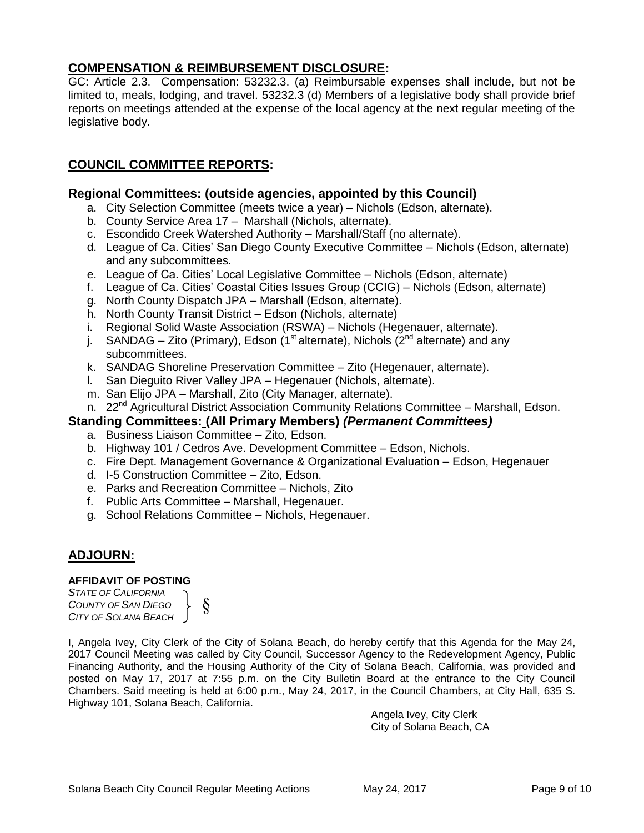## **COMPENSATION & REIMBURSEMENT DISCLOSURE:**

GC: Article 2.3. Compensation: 53232.3. (a) Reimbursable expenses shall include, but not be limited to, meals, lodging, and travel. 53232.3 (d) Members of a legislative body shall provide brief reports on meetings attended at the expense of the local agency at the next regular meeting of the legislative body.

## **COUNCIL COMMITTEE REPORTS:**

## **Regional Committees: (outside agencies, appointed by this Council)**

- a. City Selection Committee (meets twice a year) Nichols (Edson, alternate).
- b. County Service Area 17 Marshall (Nichols, alternate).
- c. Escondido Creek Watershed Authority Marshall/Staff (no alternate).
- d. League of Ca. Cities' San Diego County Executive Committee Nichols (Edson, alternate) and any subcommittees.
- e. League of Ca. Cities' Local Legislative Committee Nichols (Edson, alternate)
- f. League of Ca. Cities' Coastal Cities Issues Group (CCIG) Nichols (Edson, alternate)
- g. North County Dispatch JPA Marshall (Edson, alternate).
- h. North County Transit District Edson (Nichols, alternate)
- i. Regional Solid Waste Association (RSWA) Nichols (Hegenauer, alternate).
- j. SANDAG Zito (Primary), Edson (1<sup>st</sup> alternate), Nichols ( $2<sup>nd</sup>$  alternate) and any subcommittees.
- k. SANDAG Shoreline Preservation Committee Zito (Hegenauer, alternate).
- l. San Dieguito River Valley JPA Hegenauer (Nichols, alternate).
- m. San Elijo JPA Marshall, Zito (City Manager, alternate).
- n. 22<sup>nd</sup> Agricultural District Association Community Relations Committee Marshall, Edson.

## **Standing Committees: (All Primary Members)** *(Permanent Committees)*

- a. Business Liaison Committee Zito, Edson.
- b. Highway 101 / Cedros Ave. Development Committee Edson, Nichols.
- c. Fire Dept. Management Governance & Organizational Evaluation Edson, Hegenauer
- d. I-5 Construction Committee Zito, Edson.
- e. Parks and Recreation Committee Nichols, Zito
- f. Public Arts Committee Marshall, Hegenauer.
- g. School Relations Committee Nichols, Hegenauer.

## **ADJOURN:**

## **AFFIDAVIT OF POSTING**

*STATE OF CALIFORNIA COUNTY OF SAN DIEGO CITY OF SOLANA BEACH* §

I, Angela Ivey, City Clerk of the City of Solana Beach, do hereby certify that this Agenda for the May 24, 2017 Council Meeting was called by City Council, Successor Agency to the Redevelopment Agency, Public Financing Authority, and the Housing Authority of the City of Solana Beach, California, was provided and posted on May 17, 2017 at 7:55 p.m. on the City Bulletin Board at the entrance to the City Council Chambers. Said meeting is held at 6:00 p.m., May 24, 2017, in the Council Chambers, at City Hall, 635 S. Highway 101, Solana Beach, California.

> Angela Ivey, City Clerk City of Solana Beach, CA